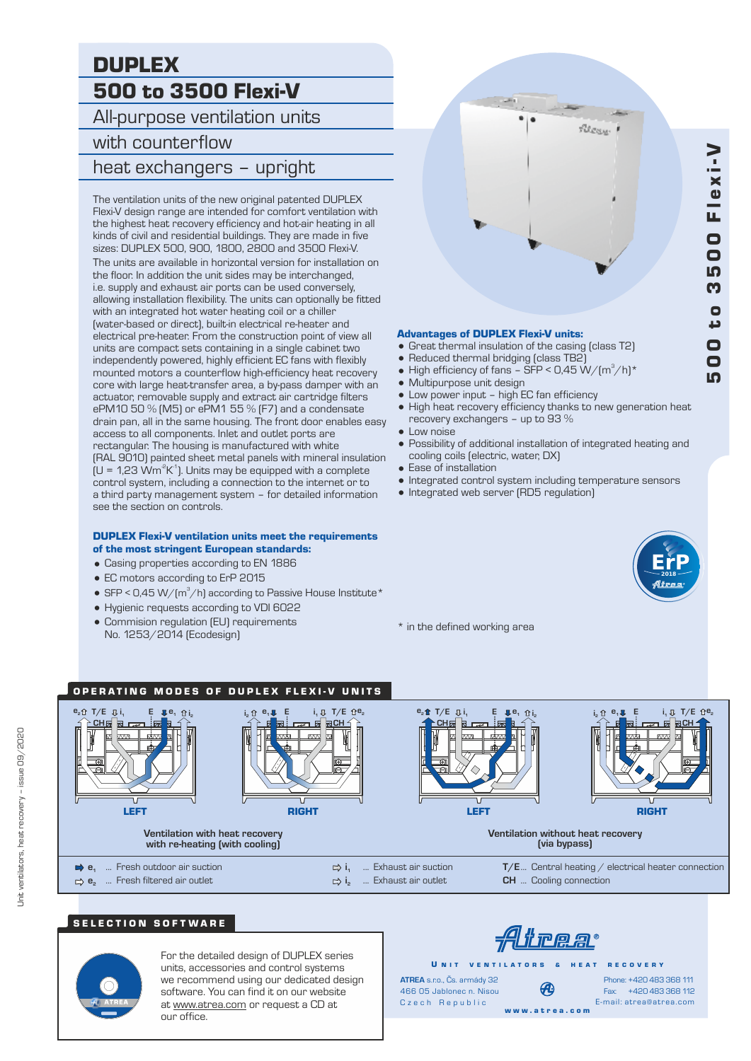# DUPLEX 500 to 3500 Flexi-V

All-purpose ventilation units

# with counterflow

# heat exchangers – upright

The ventilation units of the new original patented DUPLEX Flexi-V design range are intended for comfort ventilation with the highest heat recovery efficiency and hot-air heating in all kinds of civil and residential buildings. They are made in five sizes: DUPLEX 500, 900, 1800, 2800 and 3500 Flexi-V. The units are available in horizontal version for installation on the floor. In addition the unit sides may be interchanged, i.e. supply and exhaust air ports can be used conversely, allowing installation flexibility. The units can optionally be fitted with an integrated hot water heating coil or a chiller (water-based or direct), built-in electrical re-heater and electrical pre-heater. From the construction point of view all units are compact sets containing in a single cabinet two independently powered, highly efficient EC fans with flexibly mounted motors a counterflow high-efficiency heat recovery core with large heat-transfer area, a by-pass damper with an actuator, removable supply and extract air cartridge filters ePM10 50 % (M5) or ePM1 55 % (F7) and a condensate drain pan, all in the same housing. The front door enables easy access to all components. Inlet and outlet ports are rectangular. The housing is manufactured with white (RAL 9010) painted sheet metal panels with mineral insulation  $\mu$  = 1,23 Wm<sup>2</sup>K<sup>-1</sup>). Units may be equipped with a complete control system, including a connection to the internet or to a third party management system – for detailed information see the section on controls.

#### DUPLEX Flexi-V ventilation units meet the requirements of the most stringent European standards:

- = Casing properties according to EN 1886
- EC motors according to ErP 2015
- SFP < 0,45 W/ $\text{m}^3\text{/h}$  according to Passive House Institute \*
- = Hygienic requests according to VDI 6022
- Commision regulation (EU) requirements No. 1253/2014 (Ecodesign)



#### Advantages of DUPLEX Flexi-V units:

- Great thermal insulation of the casing (class T2)
- Reduced thermal bridging (class TB2)
- High efficiency of fans SFP <  $0.45 W/(m^3/h)^*$
- Multipurpose unit design
- $\bullet$  Low power input high EC fan efficiency
- High heat recovery efficiency thanks to new generation heat recovery exchangers – up to 93 %
- Low noise
- = Possibility of additional installation of integrated heating and cooling coils (electric, water, DX)
- $\bullet$  Ease of installation
- = Integrated control system including temperature sensors
- Integrated web server (RD5 regulation)



\* in the defined working area

#### OPERATING MODES OF DUPLEX FLEXI-V UNITS ... Fresh filtered air outlet **200 T/E**... Central heating / electrical heater connection **e**<sub>2</sub> ... Fresh filtered air outlet **e**<sub>1</sub> ... Fresh outdoor air suction **i1** ... **i1** ...  $\Rightarrow$  **i**<sub>1</sub>  $\Rightarrow$  i<sub>1</sub> ... Exhaust air suction **Ventilation with heat recovery with re-heating (with cooling) Ventilation without heat recovery (via bypass) e**<sub>2</sub>**<u>0</u></u> <b>i**<sub>1</sub> **i**<sub>2</sub>**1 i**<sub>2</sub>**1 i**<sub>2</sub>**1 i**<sub>2</sub> **T/E e<sup>1</sup> CH** LEFT **E i i<sup>1</sup> e**<sub>1</sub>**UE i**<sub>1</sub>**U T**/**E**  $\hat{u}$ <sup>B</sup><sub>2</sub> **2 CH DIGHT E i i<sup>1</sup> e**<sub>1</sub>**UE i**<sub>1</sub>**U T**/**E**  $\hat{u}$ <sup>e</sup><sub>2</sub> **2 CH DIGHT e**<sub>2</sub>**1f 1***C* **<u>E**</u>**1F**<sub>**1**</sub>*<b>E*<sub>**1***C***<sub>1</sub><b>***C***<sub>1</sub><b>C**<sub>1</sub>*C***<sub>1</sub><b>CC**<sub>1</sub>**C**<sub>1</sub>**CC**<sub>1</sub>**C**</del>**C**</sub> **CH E** LEFT

# SELECTION SOFTWARE



For the detailed design of DUPLEX series units, accessories and control systems we recommend using our dedicated design software. You can find it on our website at www.atrea.com or request a CD at our office.

<u> Alirea</u>

U N IT VENTILATORS & HEAT RECOVERY

**ATREA** s.r.o., Čs. armády 32 466 05 Jablonec n. Nisou Czech Republic

w w w . a t r e a . c o m

Fax: +420 483 368 112 Phone: +420 483 368 111 E-mail: atrea@atrea.com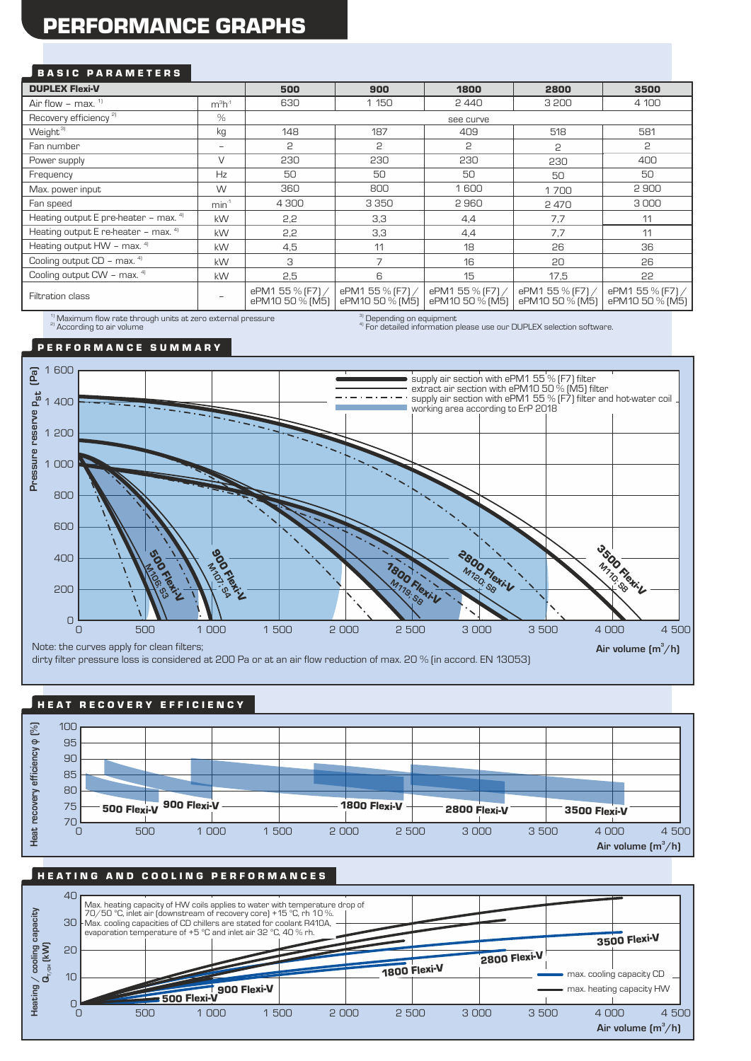# PERFORMANCE GRAPHS

### BASIC PARAMETERS

| <b>DUPLEX Flexi-V</b>                    |                  | 500                                 | 900                                 | 1800                                | 2800                                | 3500                                |
|------------------------------------------|------------------|-------------------------------------|-------------------------------------|-------------------------------------|-------------------------------------|-------------------------------------|
| Air flow – max. $1$                      | $m^3h^1$         | 630                                 | 1 150                               | 2440                                | 3 200                               | 4 100                               |
| Recovery efficiency <sup>2)</sup>        | $\%$             | see curve                           |                                     |                                     |                                     |                                     |
| Weight <sup>3)</sup>                     | kg               | 148                                 | 187                                 | 409                                 | 518                                 | 581                                 |
| Fan number                               | ۰                | 2                                   | 2                                   | 2                                   | 2                                   | 2                                   |
| Power supply                             | $\vee$           | 230                                 | 230                                 | 230                                 | 230                                 | 400                                 |
| Frequency                                | Hz               | 50                                  | 50                                  | 50                                  | 50                                  | 50                                  |
| Max. power input                         | W                | 360                                 | 800                                 | 1600                                | 1700                                | 2900                                |
| Fan speed                                | min <sup>1</sup> | 4 300                               | 3 3 5 0                             | 2960                                | 2470                                | 3000                                |
| Heating output E pre-heater - max. $41$  | kW               | 2,2                                 | 3,3                                 | 4,4                                 | 7,7                                 | 11                                  |
| Heating output E re-heater - max. 41     | kW               | 2,2                                 | 3,3                                 | 4,4                                 | 7,7                                 | 11                                  |
| Heating output HW - max. 41              | kW               | 4,5                                 | 11                                  | 18                                  | 26                                  | 36                                  |
| Cooling output $CD - max.$ <sup>41</sup> | kW               | 3                                   | $\overline{7}$                      | 16                                  | 20                                  | 26                                  |
| Cooling output CW - max. 41              | <b>kW</b>        | 2,5                                 | 6                                   | 15                                  | 17,5                                | 22                                  |
| Filtration class                         |                  | ePM1 55 % [F7] /<br>ePM10 50 % (M5) | ePM1 55 % [F7] /<br>ePM10 50 % (M5) | ePM1 55 % [F7] /<br>ePM10 50 % (M5) | ePM1 55 % (F7) /<br>ePM10 50 % (M5) | ePM1 55 % (F7) /<br>ePM10 50 % [M5] |

<sup>2)</sup> According to air volume  $\frac{1}{2}$ Maximum flow rate through units at zero external pressure <sup>3)</sup> Depending on equipment<br><sup>4)</sup> For detailed information please use our DUPLEX selection software.

P E R F O R M A N C E S U M M A R Y



## HEAT RECOVERY EFFICIENCY



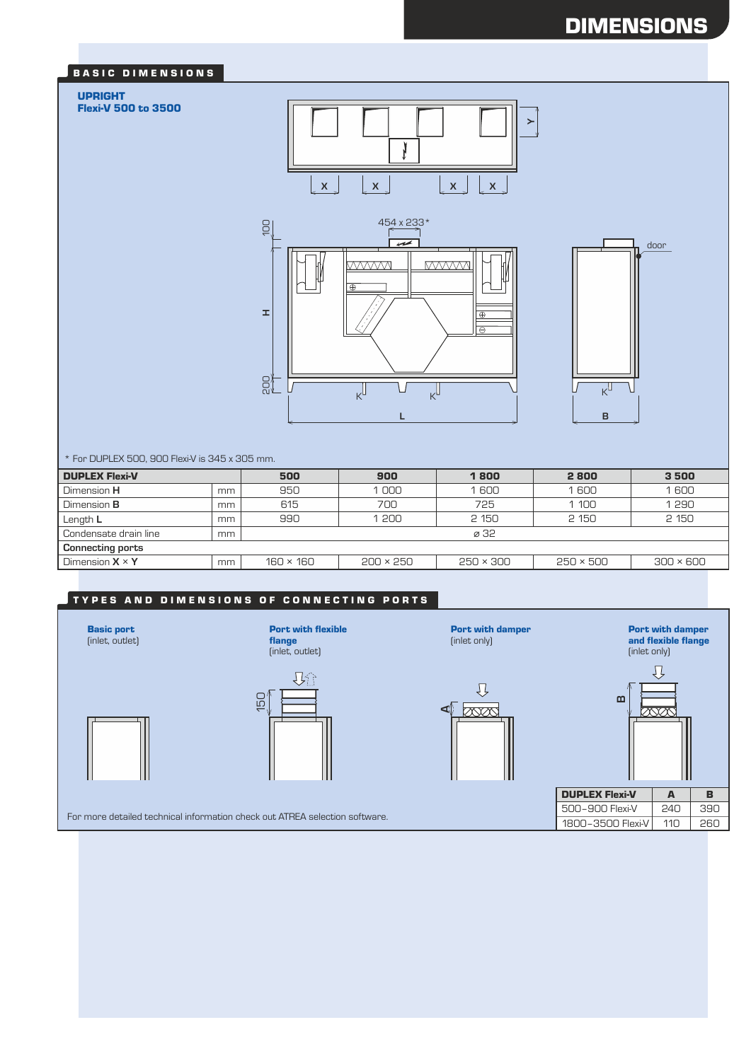# DIMENSIONS

### BASIC DIMENSIONS

### UPRIGHT

Flexi-V 500 to 3500







\* For DUPLEX 500, 900 Flexi-V is 345 x 305 mm.

| <b>DUPLEX Flexi-V</b>   |    | 500              | 900              | 1800      | 2800             | 3500             |  |
|-------------------------|----|------------------|------------------|-----------|------------------|------------------|--|
| Dimension H             | mm | 950              | 1600<br>1000     |           | 1600             | 1600             |  |
| Dimension <b>B</b>      | mm | 615              | 700              | 725       | 1 1 0 0          | 1290             |  |
| Length L                | mm | 990              | 1 200            | 2 150     | 2 150            | 2 150            |  |
| Condensate drain line   | mm | ø 32             |                  |           |                  |                  |  |
| <b>Connecting ports</b> |    |                  |                  |           |                  |                  |  |
| Dimension $X \times Y$  | mm | $160 \times 160$ | $200 \times 250$ | 250 × 300 | $250 \times 500$ | $300 \times 600$ |  |

## TYPES AND DIMENSIONS OF CONNECTING PORTS



For more detailed technical information check out ATREA selection software.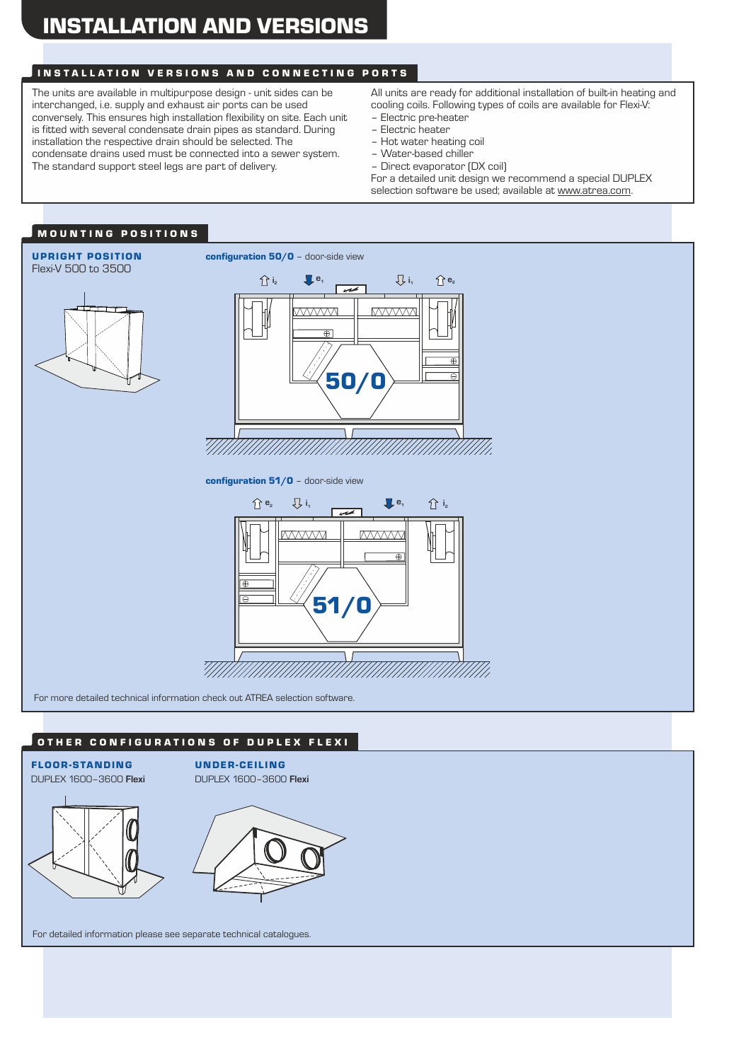# INSTALLATION AND VERSIONS

# INSTALLATION VERSIONS AND CONNECTING PORTS

The units are available in multipurpose design - unit sides can be interchanged, i.e. supply and exhaust air ports can be used conversely. This ensures high installation flexibility on site. Each unit is fitted with several condensate drain pipes as standard. During installation the respective drain should be selected. The condensate drains used must be connected into a sewer system. The standard support steel legs are part of delivery.

All units are ready for additional installation of built-in heating and cooling coils. Following types of coils are available for Flexi-V:

- Electric pre-heater
- Electric heater
	- Hot water heating coil
	- Water-based chiller
	- Direct evaporator (DX coil)

For a detailed unit design we recommend a special DUPLEX selection software be used; available at www.atrea.com.

### MOUNTING POSITIONS



For more detailed technical information check out ATREA selection software.

#### O THER CONFIGURATIONS OF DUPLEX FLEXI



For detailed information please see separate technical catalogues.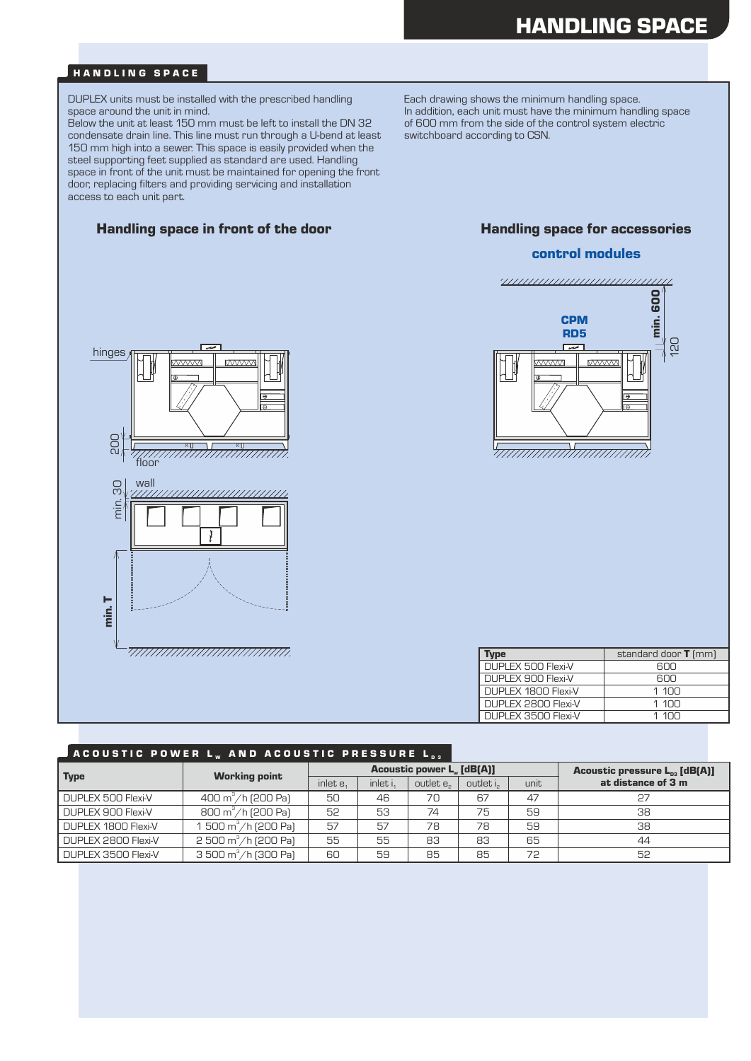### HANDLING SPACE

DUPLEX units must be installed with the prescribed handling space around the unit in mind.

Below the unit at least 150 mm must be left to install the DN 32 condensate drain line. This line must run through a U-bend at least 150 mm high into a sewer. This space is easily provided when the steel supporting feet supplied as standard are used. Handling space in front of the unit must be maintained for opening the front door, replacing filters and providing servicing and installation access to each unit part.

### Handling space in front of the door **Handling space for accessories**



#### control modules





DUPLEX 2800 Flexi-V

DUPLEX 3500 Flexi-V

| <b>vpe</b>            | standard door $T$ (mm) |
|-----------------------|------------------------|
| DUPLEX 500 Flexi-V    | RUU                    |
| DUPLEX 900 Flexi-V    | RUU                    |
| DUPLEX 1800 Flexi-V   | 1 100                  |
| DUPLEX 2800 Flexi-V   | 1 100                  |
| DI IPLEX 3500 Flexi-V | 1 1∩∩                  |

ressure  $L_{ns}$  [dB(A)]

| JACOUSTIC POWER L., AND ACOUSTIC PRESSURE L., |                                      |                                  |          |           |          |      |                                                 |
|-----------------------------------------------|--------------------------------------|----------------------------------|----------|-----------|----------|------|-------------------------------------------------|
| <b>Type</b>                                   | <b>Working point</b>                 | <b>Acoustic power L. [dB(A)]</b> |          |           |          |      | <b>Acoustic pressure <math>L_{ns}</math> [d</b> |
|                                               |                                      | inlet e.                         | inlet i. | outlet e. | outlet i | unit | at distance of 3 m                              |
| DUPLEX 500 Flexi-V                            | 400 m <sup>3</sup> /h (200 Pa)       | 50                               | 46       | 70        | 67       | 47   |                                                 |
| DUPLEX 900 Flexi-V                            | 800 m <sup>3</sup> /h (200 Pa)       | 52                               | 53       | 74        | 75       | 59   | 38                                              |
| DUPLEX 1800 Flexi-V                           | 1 500 $\text{m}^3/\text{h}$ (200 Pa) | 57                               | 57       | 78        | 78       | 59   | 38                                              |

2 500 m $^{\circ}/$ h (200 Pa) | 55 | 55 | 83 | 83 | 65 | 44

3 500 m $^{\circ}/$ h (300 Pa) | 60 | 59 | 85 | 85 | 72 | 52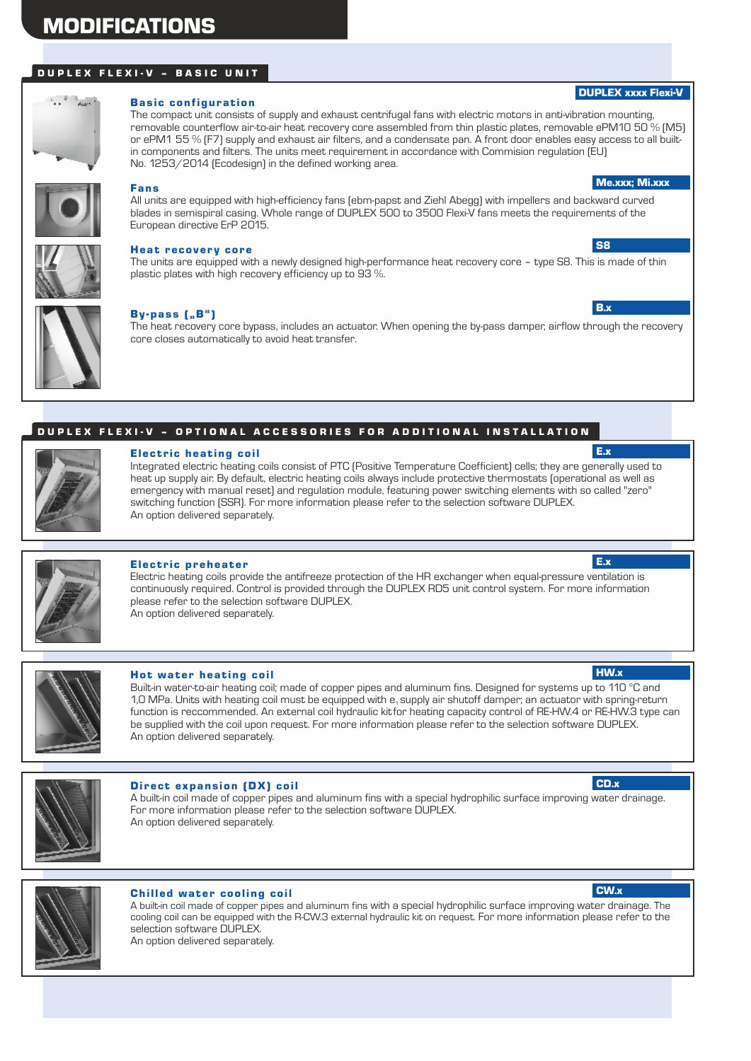# MODIFICATIONS

## DUPLEX FLEXI-V - BASIC UNIT



#### **Basic configuration**

The compact unit consists of supply and exhaust centrifugal fans with electric motors in anti-vibration mounting, removable counterflow air-to-air heat recovery core assembled from thin plastic plates, removable ePM10 50 % (M5) or ePM1 55 % (F7) supply and exhaust air filters, and a condensate pan. A front door enables easy access to all builtin components and filters. The units meet requirement in accordance with Commision regulation (EU) No. 1253/2014 (Ecodesign) in the defined working area.



# Fans

All units are equipped with high-efficiency fans (ebm-papst and Ziehl Abegg) with impellers and backward curved blades in semispiral casing. Whole range of DUPLEX 500 to 3500 Flexi-V fans meets the requirements of the European directive ErP 2015.



#### Heat recovery core

The units are equipped with a newly designed high-performance heat recovery core – type S8. This is made of thin plastic plates with high recovery efficiency up to 93 %.



#### $By-pass$   $[, B"$

The heat recovery core bypass, includes an actuator. When opening the by-pass damper, airflow through the recovery core closes automatically to avoid heat transfer.

#### DUPLEX FLEXI-V - OPTIONAL ACCESSORIES FOR ADDITIONAL INSTALLATION



#### Electric heating coil

Integrated electric heating coils consist of PTC (Positive Temperature Coefficient) cells; they are generally used to heat up supply air. By default, electric heating coils always include protective thermostats (operational as well as emergency with manual reset) and regulation module, featuring power switching elements with so called "zero" switching function (SSR). For more information please refer to the selection software DUPLEX. An option delivered separately.



#### Electric preheater

Electric heating coils provide the antifreeze protection of the HR exchanger when equal-pressure ventilation is continuously required. Control is provided through the DUPLEX RD5 unit control system. For more information please refer to the selection software DUPLEX. An option delivered separately.



#### Hot water heating coil

Built-in water-to-air heating coil; made of copper pipes and aluminum fins. Designed for systems up to 110 °C and 1,0 MPa. Units with heating coil must be equipped with e, supply air shutoff damper; an actuator with spring-return function is reccommended. An external coil hydraulic kitfor heating capacity control of RE-HW.4 or RE-HW.3 type can be supplied with the coil upon request. For more information please refer to the selection software DUPLEX. An option delivered separately.



#### Direct expansion (DX) coil

An option delivered separately. A built-in coil made of copper pipes and aluminum fins with a special hydrophilic surface improving water drainage. For more information please refer to the selection software DUPLEX.



#### **Chilled water cooling coil**

A built-in coil made of copper pipes and aluminum fins with a special hydrophilic surface improving water drainage. The cooling coil can be equipped with the R-CW.3 external hydraulic kit on request. For more information please refer to the selection software DUPLEX. An option delivered separately.



c<sub>D</sub>  $\sqrt{ }$ 





Me.xxx; Mi.xxx

DUPLEX xxxx Flexi-V

S8

B.x

E.x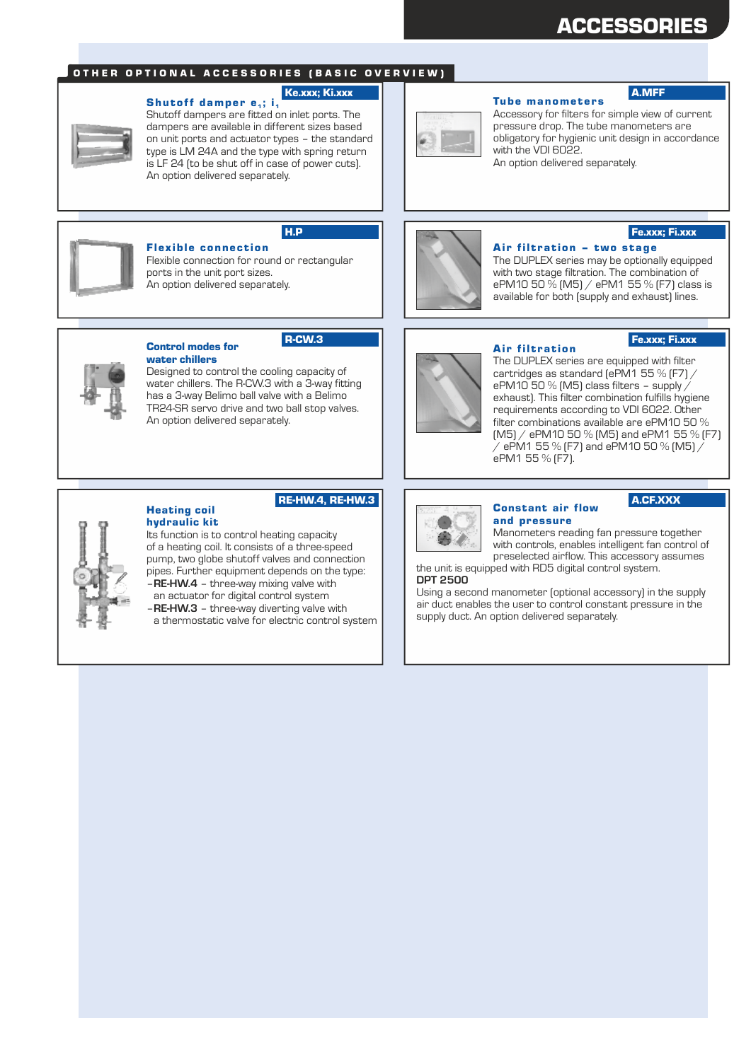# ACCESSORIES

### OTHER OPTIONAL ACCESSORIES (BASIC OVERVIEW)



#### Ke.xxx; Ki.xxx

Shutoff dampers are fitted on inlet ports. The dampers are available in different sizes based on unit ports and actuator types – the standard type is LM 24A and the type with spring return is LF 24 (to be shut off in case of power cuts). Shutoff damper e.; i. An option delivered separately.



#### **Tube manometers** A.MFF

Accessory for filters for simple view of current pressure drop. The tube manometers are obligatory for hygienic unit design in accordance with the VDI 6022.

The DUPLEX series may be optionally equipped with two stage filtration. The combination of ePM10 50 % (M5) / ePM1 55 % (F7) class is available for both (supply and exhaust) lines.

Fe.xxx; Fi.xxx

Fe.xxx; Fi.xxx

An option delivered separately.

Air filtration - two stage



# H.P

R-CW.3

Flexible connection for round or rectangular ports in the unit port sizes. **Flexible connection** An option delivered separately.



#### Control modes for water chillers

Designed to control the cooling capacity of water chillers. The R-CW.3 with a 3-way fitting has a 3-way Belimo ball valve with a Belimo TR24-SR servo drive and two ball stop valves. An option delivered separately.



#### Air filtration

The DUPLEX series are equipped with filter cartridges as standard (ePM1 55 % (F7) / ePM10 50  $%$  (M5) class filters – supply  $/$ exhaust). This filter combination fulfills hygiene requirements according to VDI 6022. Other filter combinations available are ePM10 50 % (M5) / ePM10 50 % (M5) and ePM1 55 % (F7)  $\dot{\mathcal{C}}$  ePM1 55 % (F7) and ePM10 50 % (M5)  $\dot{\mathcal{C}}$ ePM1 55 % (F7).

#### RE-HW.4, RE-HW.3

#### Its function is to control heating capacity of a heating coil. It consists of a three-speed pump, two globe shutoff valves and connection pipes. Further equipment depends on the type: hydraulic kit Heating coil

– **RE-HW.3** – three-way diverting valve with a thermostatic valve for electric control system – **RE-HW.4** – three-way mixing valve with an actuator for digital control system

A.CF.XXX



#### Constant air flow and pressure

Manometers reading fan pressure together with controls, enables intelligent fan control of preselected airflow. This accessory assumes

the unit is equipped with RD5 digital control system.

## **DPT 2500**

Using a second manometer (optional accessory) in the supply air duct enables the user to control constant pressure in the supply duct. An option delivered separately.